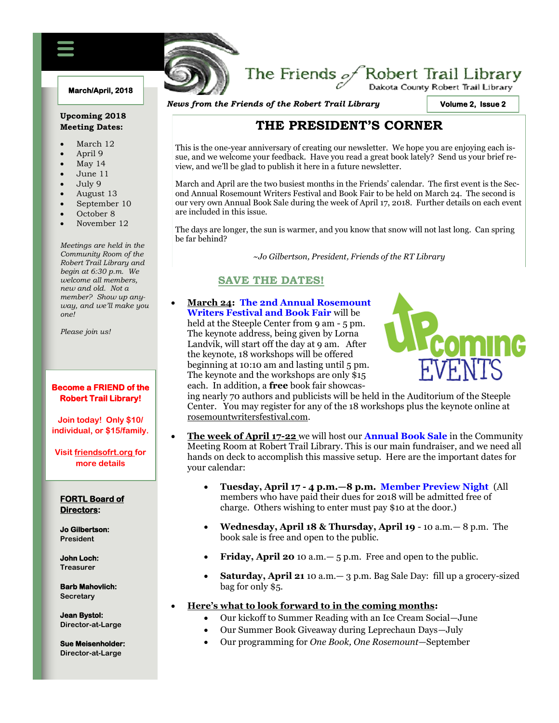#### **March/April, 2018**

#### **Upcoming 2018 Meeting Dates:**

- March 12
- April 9
- May 14
- June 11
- July 9
- August 13
- September 10
- October 8
- November 12

*Meetings are held in the Community Room of the Robert Trail Library and begin at 6:30 p.m. We welcome all members, new and old. Not a member? Show up anyway, and we'll make you one!*

*Please join us!*

#### **Become a FRIEND of the Robert Trail Library!**

**Join today! Only \$10/ individual, or \$15/family.**

**Visit friendsofrt.org for more details**

#### **FORTL Board of Directors:**

**Jo Gilbertson: President**

**John Loch: Treasurer**

**Barb Mahovlich: Secretary**

**Jean Bystol: Director-at-Large**

**Sue Meisenholder: Director-at-Large**

# The Friends  $\mathcal{P}$ Robert Trail Library

*News from the Friends of the Robert Trail Library*

FRIENDS OF THE ROBERT TRAIL LIBRARY NEWSFILM

**Volume 2, Issue 2** 

# **THE PRESIDENT'S CORNER**

This is the one-year anniversary of creating our newsletter. We hope you are enjoying each issue, and we welcome your feedback. Have you read a great book lately? Send us your brief review, and we'll be glad to publish it here in a future newsletter.

March and April are the two busiest months in the Friends' calendar. The first event is the Second Annual Rosemount Writers Festival and Book Fair to be held on March 24. The second is our very own Annual Book Sale during the week of April 17, 2018. Further details on each event are included in this issue.

The days are longer, the sun is warmer, and you know that snow will not last long. Can spring be far behind?

~*Jo Gilbertson, President, Friends of the RT Library*

# **SAVE THE DATES!**

x **March 24: The 2nd Annual Rosemount Writers Festival and Book Fair** will be

held at the Steeple Center from 9 am - 5 pm. The keynote address, being given by Lorna Landvik, will start off the day at 9 am. After the keynote, 18 workshops will be offered beginning at 10:10 am and lasting until 5 pm. The keynote and the workshops are only \$15 each. In addition, a **free** book fair showcas-



ing nearly 70 authors and publicists will be held in the Auditorium of the Steeple Center. You may register for any of the 18 workshops plus the keynote online at rosemountwritersfestival.com.

- x **The week of April 17-22** we will host our **Annual Book Sale** in the Community Meeting Room at Robert Trail Library. This is our main fundraiser, and we need all hands on deck to accomplish this massive setup. Here are the important dates for your calendar:
	- x **Tuesday, April 17 - 4 p.m.—8 p.m. Member Preview Night** (All members who have paid their dues for 2018 will be admitted free of charge. Others wishing to enter must pay \$10 at the door.)
	- x **Wednesday, April 18 & Thursday, April 19** 10 a.m.— 8 p.m. The book sale is free and open to the public.
	- Friday, April 20 10 a.m. 5 p.m. Free and open to the public.
	- **Saturday, April 21** 10 a.m. 3 p.m. Bag Sale Day: fill up a grocery-sized bag for only \$5.

#### x **Here's what to look forward to in the coming months:**

- Our kickoff to Summer Reading with an Ice Cream Social—June
- Our Summer Book Giveaway during Leprechaun Days—July
- x Our programming for *One Book, One Rosemount*—September